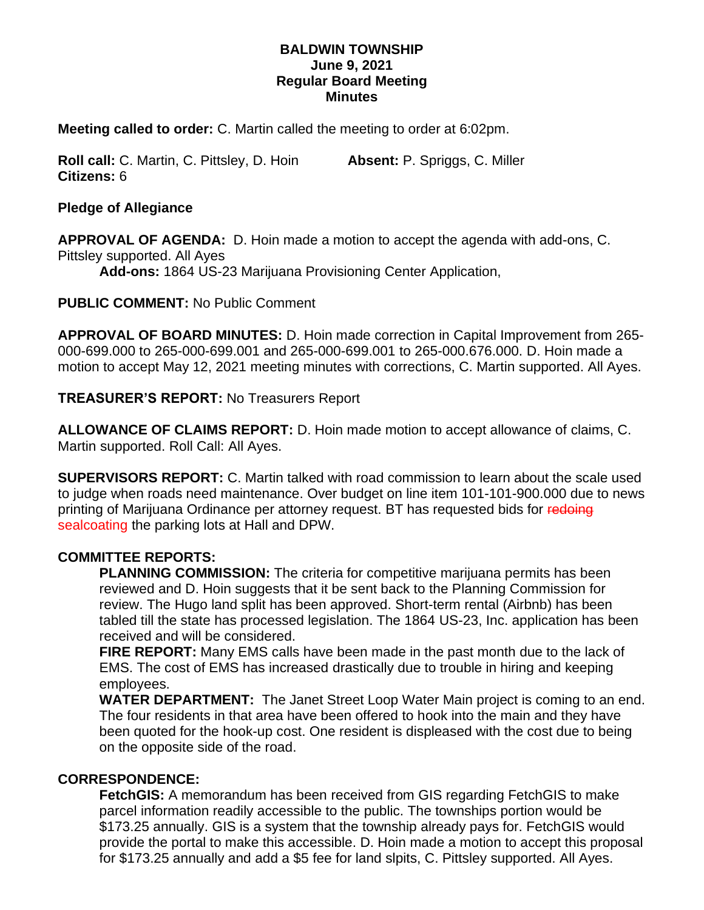### **BALDWIN TOWNSHIP June 9, 2021 Regular Board Meeting Minutes**

**Meeting called to order:** C. Martin called the meeting to order at 6:02pm.

**Roll call:** C. Martin, C. Pittsley, D. Hoin **Absent:** P. Spriggs, C. Miller **Citizens:** 6

**Pledge of Allegiance**

**APPROVAL OF AGENDA:** D. Hoin made a motion to accept the agenda with add-ons, C. Pittsley supported. All Ayes

**Add-ons:** 1864 US-23 Marijuana Provisioning Center Application,

**PUBLIC COMMENT:** No Public Comment

**APPROVAL OF BOARD MINUTES:** D. Hoin made correction in Capital Improvement from 265- 000-699.000 to 265-000-699.001 and 265-000-699.001 to 265-000.676.000. D. Hoin made a motion to accept May 12, 2021 meeting minutes with corrections, C. Martin supported. All Ayes.

**TREASURER'S REPORT:** No Treasurers Report

**ALLOWANCE OF CLAIMS REPORT:** D. Hoin made motion to accept allowance of claims, C. Martin supported. Roll Call: All Ayes.

**SUPERVISORS REPORT:** C. Martin talked with road commission to learn about the scale used to judge when roads need maintenance. Over budget on line item 101-101-900.000 due to news printing of Marijuana Ordinance per attorney request. BT has requested bids for redoing sealcoating the parking lots at Hall and DPW.

### **COMMITTEE REPORTS:**

**PLANNING COMMISSION:** The criteria for competitive marijuana permits has been reviewed and D. Hoin suggests that it be sent back to the Planning Commission for review. The Hugo land split has been approved. Short-term rental (Airbnb) has been tabled till the state has processed legislation. The 1864 US-23, Inc. application has been received and will be considered.

**FIRE REPORT:** Many EMS calls have been made in the past month due to the lack of EMS. The cost of EMS has increased drastically due to trouble in hiring and keeping employees.

**WATER DEPARTMENT:** The Janet Street Loop Water Main project is coming to an end. The four residents in that area have been offered to hook into the main and they have been quoted for the hook-up cost. One resident is displeased with the cost due to being on the opposite side of the road.

#### **CORRESPONDENCE:**

**FetchGIS:** A memorandum has been received from GIS regarding FetchGIS to make parcel information readily accessible to the public. The townships portion would be \$173.25 annually. GIS is a system that the township already pays for. FetchGIS would provide the portal to make this accessible. D. Hoin made a motion to accept this proposal for \$173.25 annually and add a \$5 fee for land slpits, C. Pittsley supported. All Ayes.